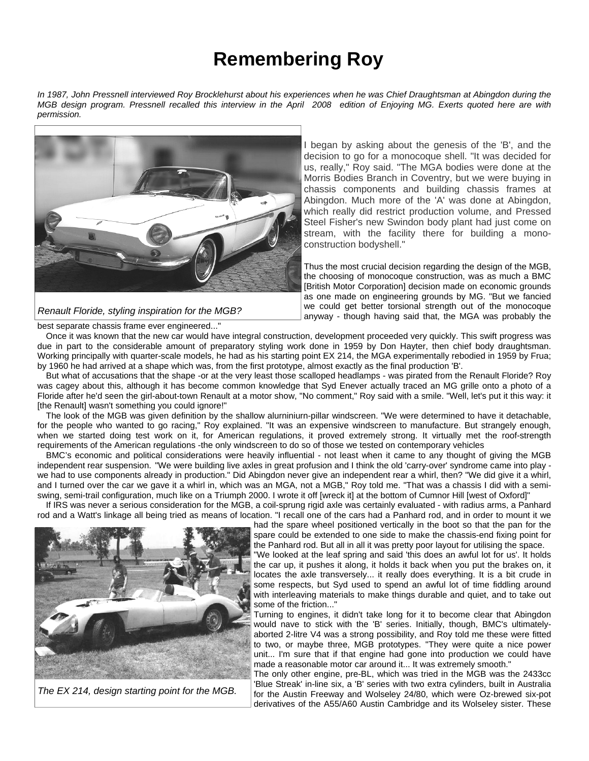## **Remembering Roy**

*In 1987, John Pressnell interviewed Roy Brocklehurst about his experiences when he was Chief Draughtsman at Abingdon during the MGB design program. Pressnell recalled this interview in the April 2008 edition of Enjoying MG. Exerts quoted here are with permission.* 



*Renault Floride, styling inspiration for the MGB?* 

I began by asking about the genesis of the 'B', and the decision to go for a monocoque shell. "It was decided for us, really," Roy said. "The MGA bodies were done at the Morris Bodies Branch in Coventry, but we were buying in chassis components and building chassis frames at Abingdon. Much more of the 'A' was done at Abingdon, which really did restrict production volume, and Pressed Steel Fisher's new Swindon body plant had just come on stream, with the facility there for building a monoconstruction bodyshell."

Thus the most crucial decision regarding the design of the MGB, the choosing of monocoque construction, was as much a BMC [British Motor Corporation] decision made on economic grounds as one made on engineering grounds by MG. "But we fancied we could get better torsional strength out of the monocoque anyway - though having said that, the MGA was probably the

best separate chassis frame ever engineered..."

Once it was known that the new car would have integral construction, development proceeded very quickly. This swift progress was due in part to the considerable amount of preparatory styling work done in 1959 by Don Hayter, then chief body draughtsman. Working principally with quarter-scale models, he had as his starting point EX 214, the MGA experimentally rebodied in 1959 by Frua; by 1960 he had arrived at a shape which was, from the first prototype, almost exactly as the final production 'B'.

But what of accusations that the shape -or at the very least those scalloped headlamps - was pirated from the Renault Floride? Roy was cagey about this, although it has become common knowledge that Syd Enever actually traced an MG grille onto a photo of a Floride after he'd seen the girl-about-town Renault at a motor show, "No comment," Roy said with a smile. "Well, let's put it this way: it [the Renault] wasn't something you could ignore!"

The look of the MGB was given definition by the shallow alurniniurn-pillar windscreen. "We were determined to have it detachable, for the people who wanted to go racing," Roy explained. "It was an expensive windscreen to manufacture. But strangely enough, when we started doing test work on it, for American regulations, it proved extremely strong. It virtually met the roof-strength requirements of the American regulations -the only windscreen to do so of those we tested on contemporary vehicles

BMC's economic and political considerations were heavily influential - not least when it came to any thought of giving the MGB independent rear suspension. "We were building live axles in great profusion and I think the old 'carry-over' syndrome came into play we had to use components already in production." Did Abingdon never give an independent rear a whirl, then? "We did give it a whirl, and I turned over the car we gave it a whirl in, which was an MGA, not a MGB," Roy told me. "That was a chassis I did with a semiswing, semi-trail configuration, much like on a Triumph 2000. I wrote it off [wreck it] at the bottom of Cumnor Hill [west of Oxford]"

If IRS was never a serious consideration for the MGB, a coil-sprung rigid axle was certainly evaluated - with radius arms, a Panhard rod and a Watt's linkage all being tried as means of location. "I recall one of the cars had a Panhard rod, and in order to mount it we



*The EX 214, design starting point for the MGB.* 

had the spare wheel positioned vertically in the boot so that the pan for the spare could be extended to one side to make the chassis-end fixing point for the Panhard rod. But all in all it was pretty poor layout for utilising the space. "We looked at the leaf spring and said 'this does an awful lot for us'. It holds

the car up, it pushes it along, it holds it back when you put the brakes on, it locates the axle transversely... it really does everything. It is a bit crude in some respects, but Syd used to spend an awful lot of time fiddling around with interleaving materials to make things durable and quiet, and to take out some of the friction..."

Turning to engines, it didn't take long for it to become clear that Abingdon would nave to stick with the 'B' series. Initially, though, BMC's ultimatelyaborted 2-litre V4 was a strong possibility, and Roy told me these were fitted to two, or maybe three, MGB prototypes. "They were quite a nice power unit... I'm sure that if that engine had gone into production we could have made a reasonable motor car around it... It was extremely smooth."

The only other engine, pre-BL, which was tried in the MGB was the 2433cc 'Blue Streak' in-line six, a 'B' series with two extra cylinders, built in Australia for the Austin Freeway and Wolseley 24/80, which were Oz-brewed six-pot derivatives of the A55/A60 Austin Cambridge and its Wolseley sister. These